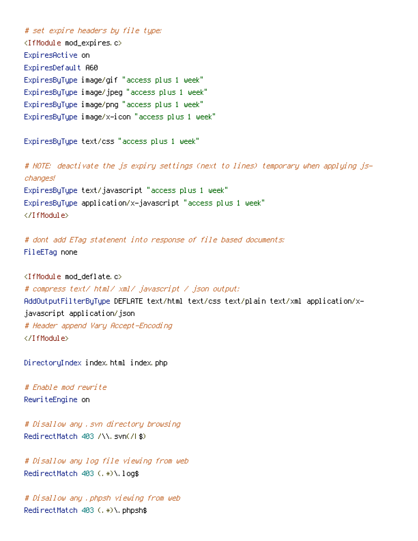# set expire headers by file type: <IfModule mod\_expires.c> ExpiresActive on ExpiresDefault A60 ExpiresByType image/gif "access plus 1 week" ExpiresByType image/jpeg "access plus 1 week" ExpiresByType image/png "access plus 1 week" ExpiresByType image/x-icon "access plus 1 week"

ExpiresByType text/css "access plus 1 week"

# NOTE: deactivate the js expiry settings (next to lines) temporary when applying jschanges! ExpiresByType text/javascript "access plus 1 week" ExpiresByType application/x-javascript "access plus 1 week" </IfModule>

# dont add ETag statenent into response of file based documents: FileETag none

<IfModule mod\_deflate.c>

# compress text/ html/ xml/ javascript / json output: AddOutputFilterByType DEFLATE text/html text/css text/plain text/xml application/xjavascript application/json # Header append Vary Accept-Encoding </IfModule>

DirectoryIndex index.html index.php

# Enable mod rewrite RewriteEngine on

# Disallow any .svn directory browsing RedirectMatch 403 /\\.svn(/|\$)

# Disallow any log file viewing from web RedirectMatch 403 (.\*)\.log\$

# Disallow any .phpsh viewing from web RedirectMatch 403 (.\*)\.phpsh\$